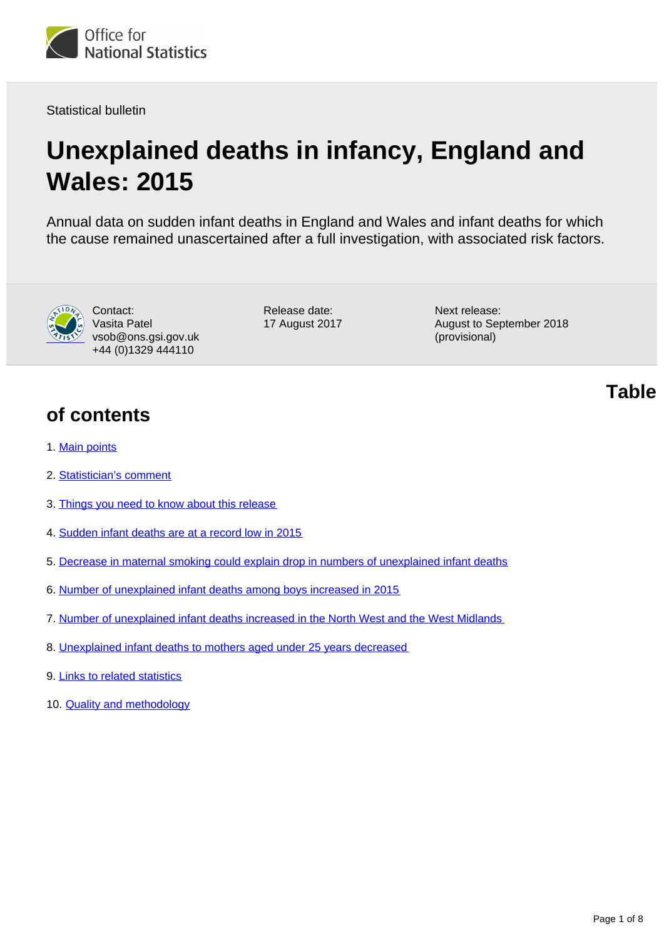

Statistical bulletin

# **Unexplained deaths in infancy, England and Wales: 2015**

Annual data on sudden infant deaths in England and Wales and infant deaths for which the cause remained unascertained after a full investigation, with associated risk factors.



Contact: Vasita Patel vsob@ons.gsi.gov.uk +44 (0)1329 444110

Release date: 17 August 2017 Next release: August to September 2018 (provisional)

**of contents**

- 1. [Main points](#page-1-0)
- 2. [Statistician's comment](#page-1-1)
- 3. [Things you need to know about this release](#page-1-2)
- 4. [Sudden infant deaths are at a record low in 2015](#page-2-0)
- 5. [Decrease in maternal smoking could explain drop in numbers of unexplained infant deaths](#page-3-0)
- 6. [Number of unexplained infant deaths among boys increased in 2015](#page-4-0)
- 7. [Number of unexplained infant deaths increased in the North West and the West Midlands](#page-5-0)
- 8. [Unexplained infant deaths to mothers aged under 25 years decreased](#page-6-0)
- 9. [Links to related statistics](#page-6-1)
- 10. [Quality and methodology](#page-6-2)

**Table**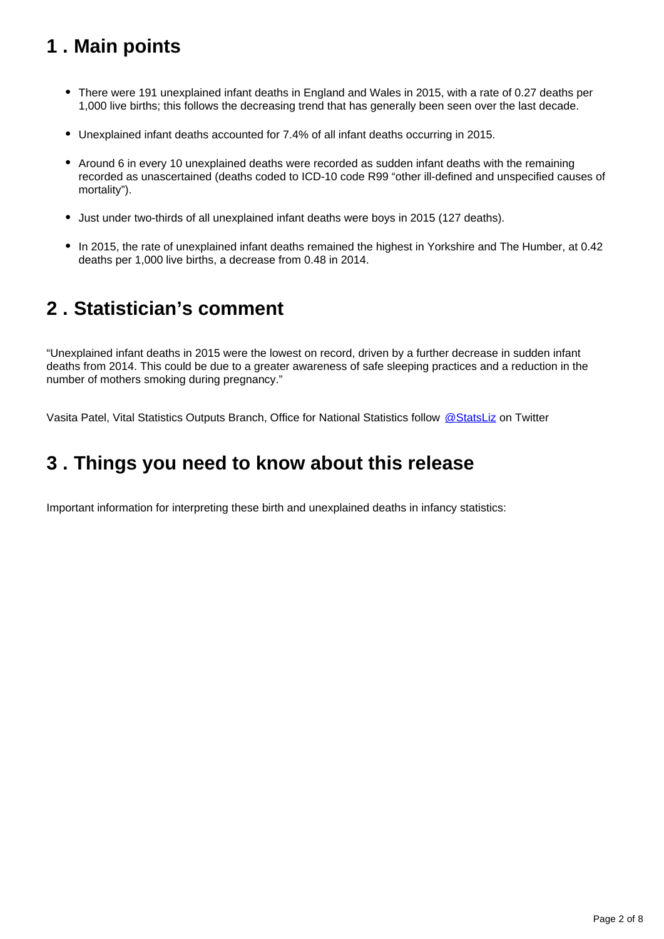# <span id="page-1-0"></span>**1 . Main points**

- There were 191 unexplained infant deaths in England and Wales in 2015, with a rate of 0.27 deaths per 1,000 live births; this follows the decreasing trend that has generally been seen over the last decade.
- Unexplained infant deaths accounted for 7.4% of all infant deaths occurring in 2015.
- Around 6 in every 10 unexplained deaths were recorded as sudden infant deaths with the remaining recorded as unascertained (deaths coded to ICD-10 code R99 "other ill-defined and unspecified causes of mortality").
- Just under two-thirds of all unexplained infant deaths were boys in 2015 (127 deaths).
- In 2015, the rate of unexplained infant deaths remained the highest in Yorkshire and The Humber, at 0.42 deaths per 1,000 live births, a decrease from 0.48 in 2014.

### <span id="page-1-1"></span>**2 . Statistician's comment**

"Unexplained infant deaths in 2015 were the lowest on record, driven by a further decrease in sudden infant deaths from 2014. This could be due to a greater awareness of safe sleeping practices and a reduction in the number of mothers smoking during pregnancy."

Vasita Patel, Vital Statistics Outputs Branch, Office for National Statistics follow [@StatsLiz](https://twitter.com/StatsLiz?ref_src=twsrc%5Etfw) on Twitter

# <span id="page-1-2"></span>**3 . Things you need to know about this release**

Important information for interpreting these birth and unexplained deaths in infancy statistics: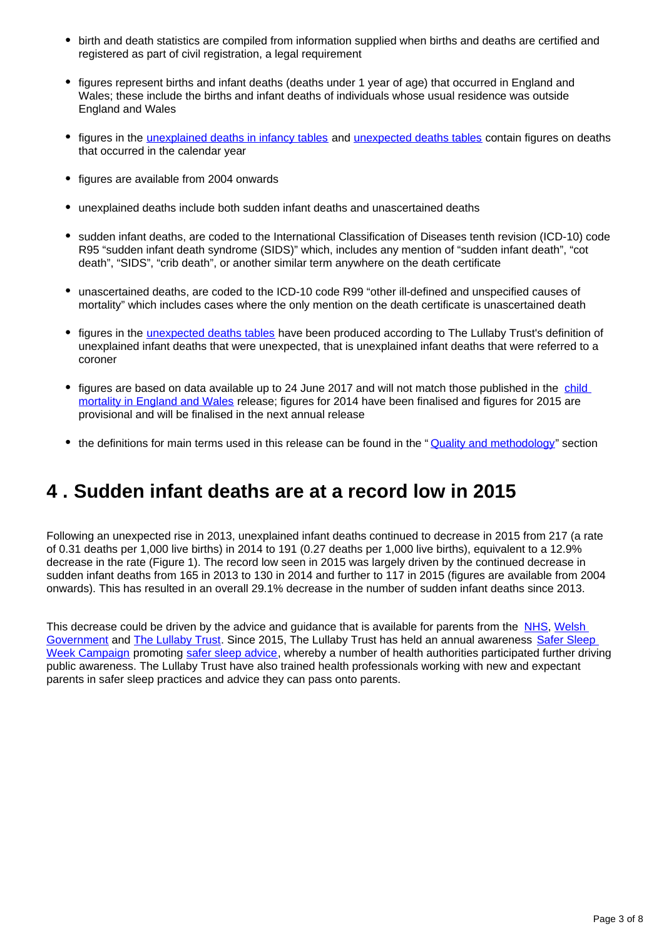- birth and death statistics are compiled from information supplied when births and deaths are certified and registered as part of civil registration, a legal requirement
- figures represent births and infant deaths (deaths under 1 year of age) that occurred in England and Wales; these include the births and infant deaths of individuals whose usual residence was outside England and Wales
- figures in the [unexplained deaths in infancy tables](https://www.ons.gov.uk/peoplepopulationandcommunity/birthsdeathsandmarriages/deaths/datasets/unexplaineddeathsininfancyenglandandwalesreferencetables) and [unexpected deaths tables](https://www.ons.gov.uk/peoplepopulationandcommunity/birthsdeathsandmarriages/deaths/datasets/unexplaineddeathsininfancyenglandandwalesunexpecteddeaths) contain figures on deaths that occurred in the calendar year
- figures are available from 2004 onwards
- unexplained deaths include both sudden infant deaths and unascertained deaths
- sudden infant deaths, are coded to the International Classification of Diseases tenth revision (ICD-10) code R95 "sudden infant death syndrome (SIDS)" which, includes any mention of "sudden infant death", "cot death", "SIDS", "crib death", or another similar term anywhere on the death certificate
- unascertained deaths, are coded to the ICD-10 code R99 "other ill-defined and unspecified causes of mortality" which includes cases where the only mention on the death certificate is unascertained death
- figures in the *unexpected deaths tables* have been produced according to The Lullaby Trust's definition of unexplained infant deaths that were unexpected, that is unexplained infant deaths that were referred to a coroner
- figures are based on data available up to 24 June 2017 and will not match those published in the child [mortality in England and Wales](https://www.ons.gov.uk/peoplepopulationandcommunity/birthsdeathsandmarriages/deaths/bulletins/childhoodinfantandperinatalmortalityinenglandandwales/previousReleases) release; figures for 2014 have been finalised and figures for 2015 are provisional and will be finalised in the next annual release
- the definitions for main terms used in this release can be found in the "**[Quality and methodology](https://www.ons.gov.uk/peoplepopulationandcommunity/birthsdeathsandmarriages/deaths/bulletins/unexplaineddeathsininfancyenglandandwales/2015#quality-and-methodology)**" section

### <span id="page-2-0"></span>**4 . Sudden infant deaths are at a record low in 2015**

Following an unexpected rise in 2013, unexplained infant deaths continued to decrease in 2015 from 217 (a rate of 0.31 deaths per 1,000 live births) in 2014 to 191 (0.27 deaths per 1,000 live births), equivalent to a 12.9% decrease in the rate (Figure 1). The record low seen in 2015 was largely driven by the continued decrease in sudden infant deaths from 165 in 2013 to 130 in 2014 and further to 117 in 2015 (figures are available from 2004 onwards). This has resulted in an overall 29.1% decrease in the number of sudden infant deaths since 2013.

This decrease could be driven by the advice and guidance that is available for parents from the [NHS,](http://www.nhs.uk/Conditions/Sudden-infant-death-syndrome/Pages/Introduction.aspx) Welsh [Government](http://gov.wales/docs/dsjlg/publications/cyp/140320-reduce-risk-cot-death-en.pdf) and [The Lullaby Trust](https://www.lullabytrust.org.uk/). Since 2015, The Lullaby Trust has held an annual awareness Safer Sleep [Week Campaign](https://www.lullabytrust.org.uk/about-us/what-we-do/our-safer-sleep-week-campaign/) promoting [safer sleep advice](https://www.lullabytrust.org.uk/safer-sleep-advice/), whereby a number of health authorities participated further driving public awareness. The Lullaby Trust have also trained health professionals working with new and expectant parents in safer sleep practices and advice they can pass onto parents.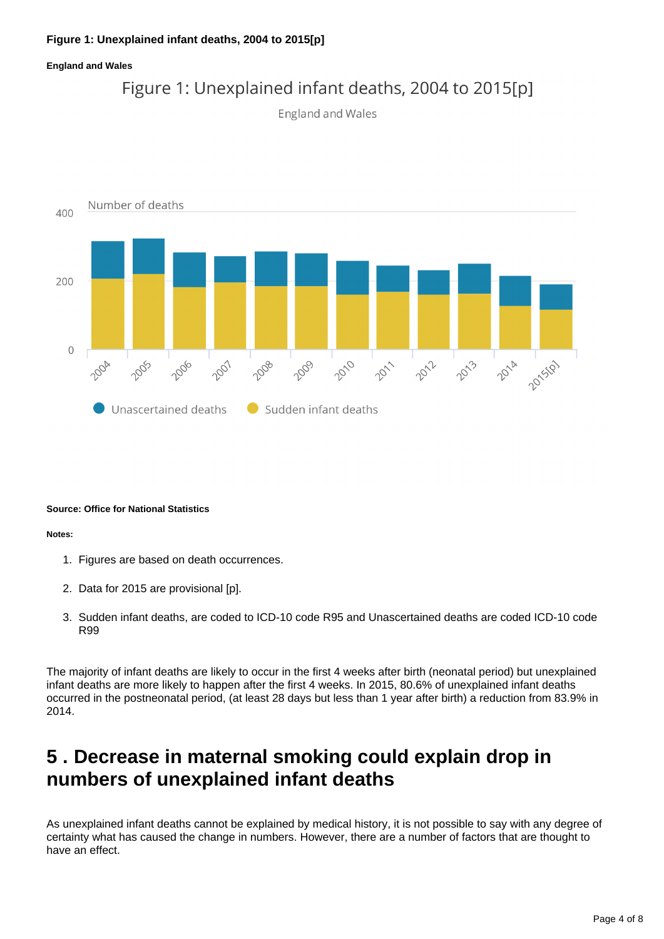#### **Figure 1: Unexplained infant deaths, 2004 to 2015[p]**

#### **England and Wales**



England and Wales



#### **Source: Office for National Statistics**

#### **Notes:**

- 1. Figures are based on death occurrences.
- 2. Data for 2015 are provisional [p].
- 3. Sudden infant deaths, are coded to ICD-10 code R95 and Unascertained deaths are coded ICD-10 code R99

The majority of infant deaths are likely to occur in the first 4 weeks after birth (neonatal period) but unexplained infant deaths are more likely to happen after the first 4 weeks. In 2015, 80.6% of unexplained infant deaths occurred in the postneonatal period, (at least 28 days but less than 1 year after birth) a reduction from 83.9% in 2014.

### <span id="page-3-0"></span>**5 . Decrease in maternal smoking could explain drop in numbers of unexplained infant deaths**

As unexplained infant deaths cannot be explained by medical history, it is not possible to say with any degree of certainty what has caused the change in numbers. However, there are a number of factors that are thought to have an effect.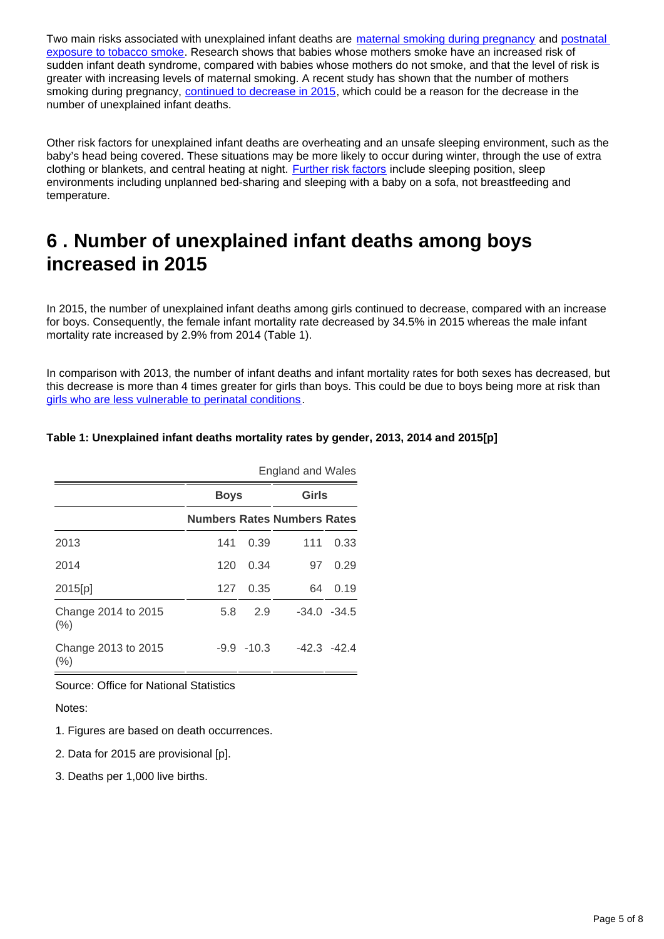Two main risks associated with unexplained infant deaths are [maternal smoking during pregnancy](https://www.ncbi.nlm.nih.gov/pubmed/9247009) and postnatal [exposure to tobacco smoke](https://www.ncbi.nlm.nih.gov/pubmed/8474808). Research shows that babies whose mothers smoke have an increased risk of sudden infant death syndrome, compared with babies whose mothers do not smoke, and that the level of risk is greater with increasing levels of maternal smoking. A recent study has shown that the number of mothers smoking during pregnancy, [continued to decrease in 2015,](http://content.digital.nhs.uk/article/6465/More-than-one-in-10-babies-born-to-mothers-who-smoke) which could be a reason for the decrease in the number of unexplained infant deaths.

Other risk factors for unexplained infant deaths are overheating and an unsafe sleeping environment, such as the baby's head being covered. These situations may be more likely to occur during winter, through the use of extra clothing or blankets, and central heating at night. [Further risk factors](http://pediatrics.aappublications.org/content/125/3/447.full.pdf) include sleeping position, sleep environments including unplanned bed-sharing and sleeping with a baby on a sofa, not breastfeeding and temperature.

# <span id="page-4-0"></span>**6 . Number of unexplained infant deaths among boys increased in 2015**

In 2015, the number of unexplained infant deaths among girls continued to decrease, compared with an increase for boys. Consequently, the female infant mortality rate decreased by 34.5% in 2015 whereas the male infant mortality rate increased by 2.9% from 2014 (Table 1).

In comparison with 2013, the number of infant deaths and infant mortality rates for both sexes has decreased, but this decrease is more than 4 times greater for girls than boys. This could be due to boys being more at risk than [girls who are less vulnerable to perinatal conditions.](http://www.un.org/esa/population/publications/SexDifChildMort/SexDifferentialsChildhoodMortality.pdf)

|                             | <b>England and Wales</b> |         |                                    |                |  |
|-----------------------------|--------------------------|---------|------------------------------------|----------------|--|
|                             | <b>Boys</b>              |         | Girls                              |                |  |
|                             |                          |         | <b>Numbers Rates Numbers Rates</b> |                |  |
| 2013                        | 141                      | 0.39    | 111                                | 0.33           |  |
| 2014                        | 120                      | 0.34    | 97                                 | 0.29           |  |
| 2015[p]                     | 127                      | 0.35    | 64                                 | 0.19           |  |
| Change 2014 to 2015<br>(% ) | 5.8                      | 2.9     |                                    | $-34.0 - 34.5$ |  |
| Change 2013 to 2015<br>(%)  | -9.9                     | $-10.3$ |                                    | -42.3 -42.4    |  |

#### **Table 1: Unexplained infant deaths mortality rates by gender, 2013, 2014 and 2015[p]**

Source: Office for National Statistics

Notes:

- 1. Figures are based on death occurrences.
- 2. Data for 2015 are provisional [p].
- 3. Deaths per 1,000 live births.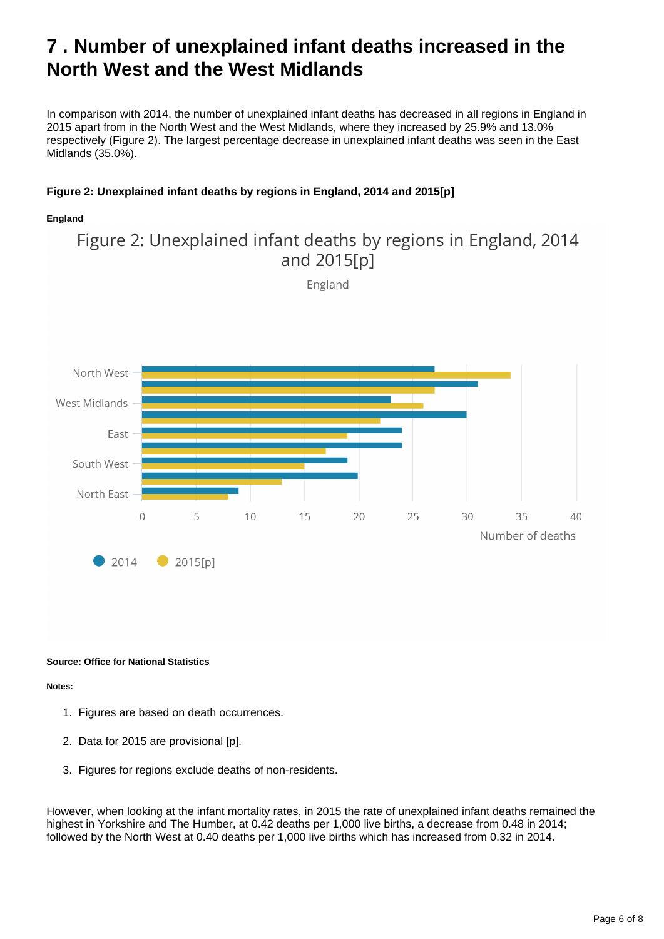# <span id="page-5-0"></span>**7 . Number of unexplained infant deaths increased in the North West and the West Midlands**

In comparison with 2014, the number of unexplained infant deaths has decreased in all regions in England in 2015 apart from in the North West and the West Midlands, where they increased by 25.9% and 13.0% respectively (Figure 2). The largest percentage decrease in unexplained infant deaths was seen in the East Midlands (35.0%).

#### **Figure 2: Unexplained infant deaths by regions in England, 2014 and 2015[p]**

#### **England**

Figure 2: Unexplained infant deaths by regions in England, 2014 and 2015[p]

England



**Source: Office for National Statistics**

#### **Notes:**

- 1. Figures are based on death occurrences.
- 2. Data for 2015 are provisional [p].
- 3. Figures for regions exclude deaths of non-residents.

However, when looking at the infant mortality rates, in 2015 the rate of unexplained infant deaths remained the highest in Yorkshire and The Humber, at 0.42 deaths per 1,000 live births, a decrease from 0.48 in 2014; followed by the North West at 0.40 deaths per 1,000 live births which has increased from 0.32 in 2014.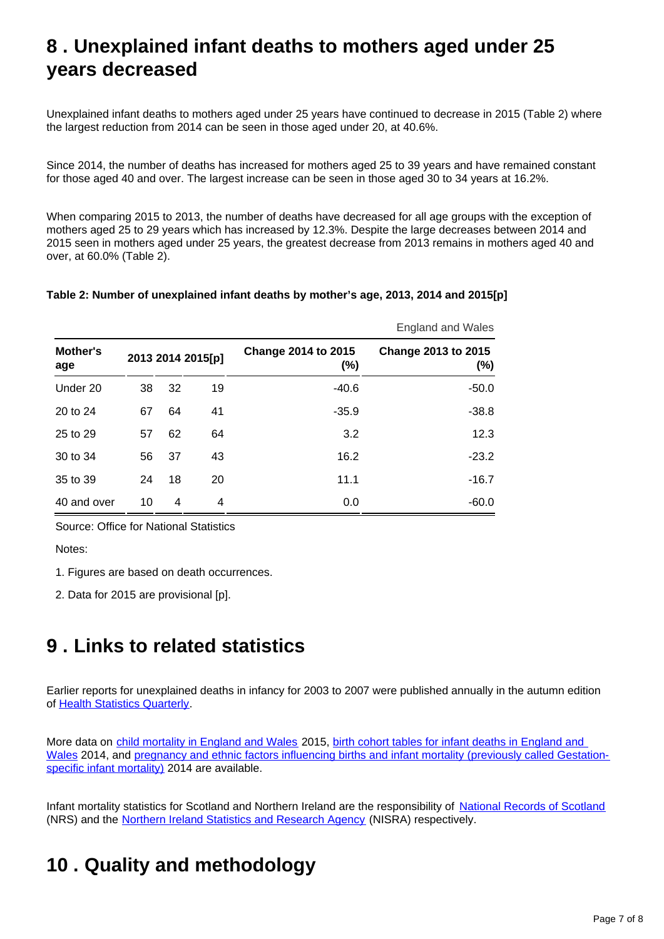# <span id="page-6-0"></span>**8 . Unexplained infant deaths to mothers aged under 25 years decreased**

Unexplained infant deaths to mothers aged under 25 years have continued to decrease in 2015 (Table 2) where the largest reduction from 2014 can be seen in those aged under 20, at 40.6%.

Since 2014, the number of deaths has increased for mothers aged 25 to 39 years and have remained constant for those aged 40 and over. The largest increase can be seen in those aged 30 to 34 years at 16.2%.

When comparing 2015 to 2013, the number of deaths have decreased for all age groups with the exception of mothers aged 25 to 29 years which has increased by 12.3%. Despite the large decreases between 2014 and 2015 seen in mothers aged under 25 years, the greatest decrease from 2013 remains in mothers aged 40 and over, at 60.0% (Table 2).

#### **Table 2: Number of unexplained infant deaths by mother's age, 2013, 2014 and 2015[p]**

|                 | <b>England and Wales</b> |    |    |                                   |                                      |  |
|-----------------|--------------------------|----|----|-----------------------------------|--------------------------------------|--|
| Mother's<br>age | 2013 2014 2015[p]        |    |    | <b>Change 2014 to 2015</b><br>(%) | <b>Change 2013 to 2015</b><br>$(\%)$ |  |
| Under 20        | 38                       | 32 | 19 | $-40.6$                           | $-50.0$                              |  |
| 20 to 24        | 67                       | 64 | 41 | $-35.9$                           | $-38.8$                              |  |
| 25 to 29        | 57                       | 62 | 64 | 3.2                               | 12.3                                 |  |
| 30 to 34        | 56                       | 37 | 43 | 16.2                              | $-23.2$                              |  |
| 35 to 39        | 24                       | 18 | 20 | 11.1                              | $-16.7$                              |  |
| 40 and over     | 10                       | 4  | 4  | 0.0                               | $-60.0$                              |  |

Source: Office for National Statistics

Notes:

1. Figures are based on death occurrences.

2. Data for 2015 are provisional [p].

### <span id="page-6-1"></span>**9 . Links to related statistics**

Earlier reports for unexplained deaths in infancy for 2003 to 2007 were published annually in the autumn edition of [Health Statistics Quarterly.](http://www.ons.gov.uk/ons/rel/hsq/health-statistics-quarterly/no--39--autumn-2008/index.html)

More data on [child mortality in England and Wales](https://www.ons.gov.uk/peoplepopulationandcommunity/birthsdeathsandmarriages/deaths/bulletins/childhoodinfantandperinatalmortalityinenglandandwales/previousReleases) 2015, [birth cohort tables for infant deaths in England and](https://www.ons.gov.uk/peoplepopulationandcommunity/birthsdeathsandmarriages/deaths/datasets/birthcohorttablesforinfantdeaths)  [Wales](https://www.ons.gov.uk/peoplepopulationandcommunity/birthsdeathsandmarriages/deaths/datasets/birthcohorttablesforinfantdeaths) 2014, and [pregnancy and ethnic factors influencing births and infant mortality \(previously called Gestation](http://www.ons.gov.uk/peoplepopulationandcommunity/healthandsocialcare/causesofdeath/bulletins/pregnancyandethnicfactorsinfluencingbirthsandinfantmortality/previousReleases)[specific infant mortality\)](http://www.ons.gov.uk/peoplepopulationandcommunity/healthandsocialcare/causesofdeath/bulletins/pregnancyandethnicfactorsinfluencingbirthsandinfantmortality/previousReleases) 2014 are available.

Infant mortality statistics for Scotland and Northern Ireland are the responsibility of [National Records of Scotland](https://www.nrscotland.gov.uk/statistics-and-data/statistics/statistics-by-theme/vital-events/deaths) (NRS) and the [Northern Ireland Statistics and Research Agency](https://www.nisra.gov.uk/statistics/deaths/stillbirths-infant-deaths) (NISRA) respectively.

### <span id="page-6-2"></span>**10 . Quality and methodology**